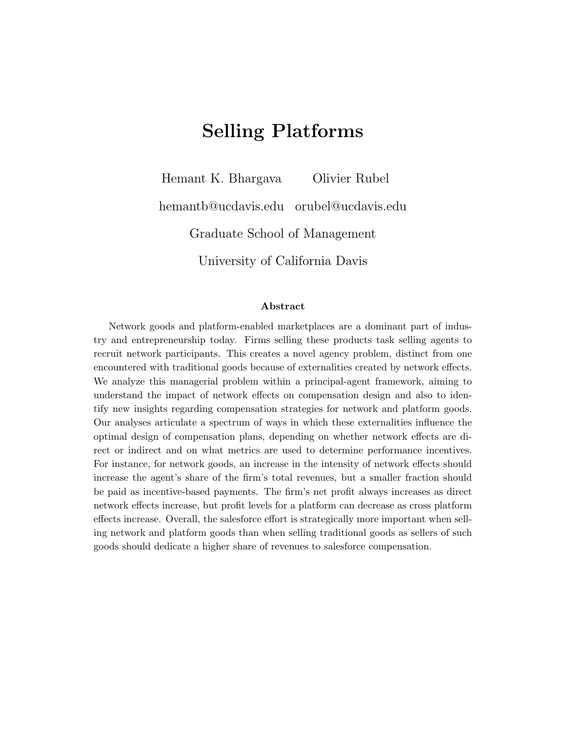# Selling Platforms

Hemant K. Bhargava Olivier Rubel hemantb@ucdavis.edu orubel@ucdavis.edu Graduate School of Management University of California Davis

#### Abstract

Network goods and platform-enabled marketplaces are a dominant part of industry and entrepreneurship today. Firms selling these products task selling agents to recruit network participants. This creates a novel agency problem, distinct from one encountered with traditional goods because of externalities created by network effects. We analyze this managerial problem within a principal-agent framework, aiming to understand the impact of network effects on compensation design and also to identify new insights regarding compensation strategies for network and platform goods. Our analyses articulate a spectrum of ways in which these externalities influence the optimal design of compensation plans, depending on whether network effects are direct or indirect and on what metrics are used to determine performance incentives. For instance, for network goods, an increase in the intensity of network effects should increase the agent's share of the firm's total revenues, but a smaller fraction should be paid as incentive-based payments. The firm's net profit always increases as direct network effects increase, but profit levels for a platform can decrease as cross platform effects increase. Overall, the salesforce effort is strategically more important when selling network and platform goods than when selling traditional goods as sellers of such goods should dedicate a higher share of revenues to salesforce compensation.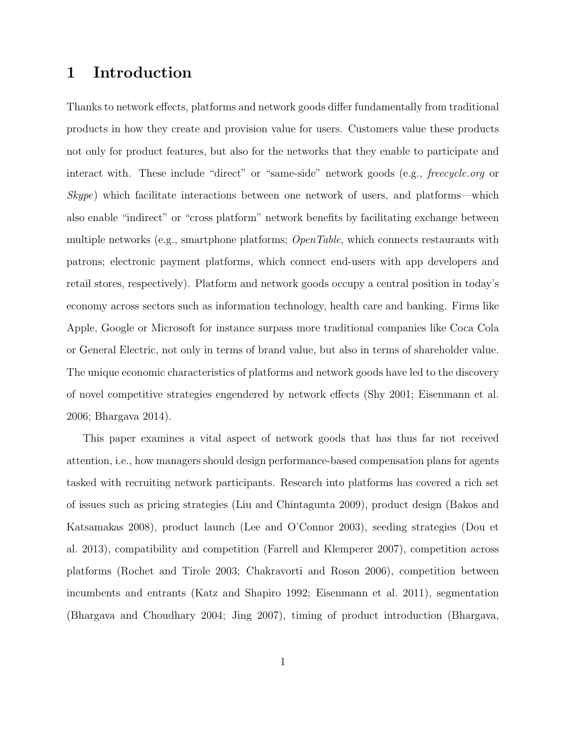### 1 Introduction

Thanks to network effects, platforms and network goods differ fundamentally from traditional products in how they create and provision value for users. Customers value these products not only for product features, but also for the networks that they enable to participate and interact with. These include "direct" or "same-side" network goods (e.g., *freecycle.org* or Skype) which facilitate interactions between one network of users, and platforms—which also enable "indirect" or "cross platform" network benefits by facilitating exchange between multiple networks (e.g., smartphone platforms;  $OpenTable$ , which connects restaurants with patrons; electronic payment platforms, which connect end-users with app developers and retail stores, respectively). Platform and network goods occupy a central position in today's economy across sectors such as information technology, health care and banking. Firms like Apple, Google or Microsoft for instance surpass more traditional companies like Coca Cola or General Electric, not only in terms of brand value, but also in terms of shareholder value. The unique economic characteristics of platforms and network goods have led to the discovery of novel competitive strategies engendered by network effects (Shy 2001; Eisenmann et al. 2006; Bhargava 2014).

This paper examines a vital aspect of network goods that has thus far not received attention, i.e., how managers should design performance-based compensation plans for agents tasked with recruiting network participants. Research into platforms has covered a rich set of issues such as pricing strategies (Liu and Chintagunta 2009), product design (Bakos and Katsamakas 2008), product launch (Lee and O'Connor 2003), seeding strategies (Dou et al. 2013), compatibility and competition (Farrell and Klemperer 2007), competition across platforms (Rochet and Tirole 2003; Chakravorti and Roson 2006), competition between incumbents and entrants (Katz and Shapiro 1992; Eisenmann et al. 2011), segmentation (Bhargava and Choudhary 2004; Jing 2007), timing of product introduction (Bhargava,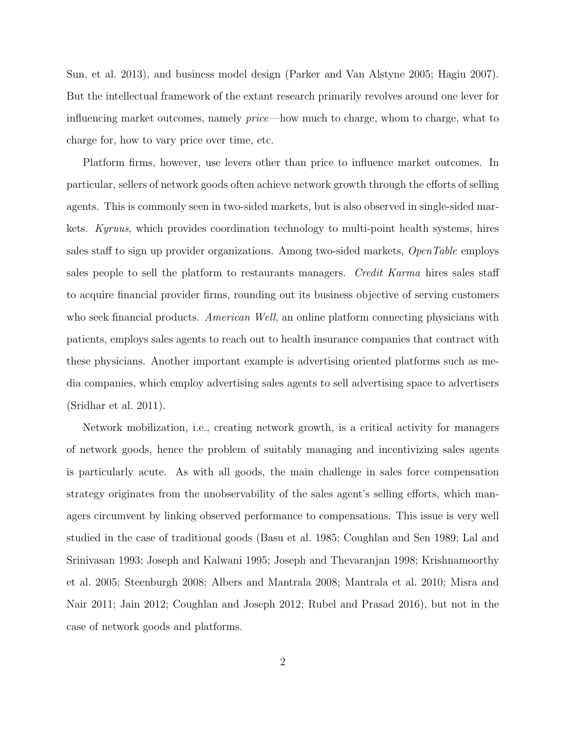Sun, et al. 2013), and business model design (Parker and Van Alstyne 2005; Hagiu 2007). But the intellectual framework of the extant research primarily revolves around one lever for influencing market outcomes, namely price—how much to charge, whom to charge, what to charge for, how to vary price over time, etc.

Platform firms, however, use levers other than price to influence market outcomes. In particular, sellers of network goods often achieve network growth through the efforts of selling agents. This is commonly seen in two-sided markets, but is also observed in single-sided markets. Kyruus, which provides coordination technology to multi-point health systems, hires sales staff to sign up provider organizations. Among two-sided markets, OpenTable employs sales people to sell the platform to restaurants managers. Credit Karma hires sales staff to acquire financial provider firms, rounding out its business objective of serving customers who seek financial products. American Well, an online platform connecting physicians with patients, employs sales agents to reach out to health insurance companies that contract with these physicians. Another important example is advertising oriented platforms such as media companies, which employ advertising sales agents to sell advertising space to advertisers (Sridhar et al. 2011).

Network mobilization, i.e., creating network growth, is a critical activity for managers of network goods, hence the problem of suitably managing and incentivizing sales agents is particularly acute. As with all goods, the main challenge in sales force compensation strategy originates from the unobservability of the sales agent's selling efforts, which managers circumvent by linking observed performance to compensations. This issue is very well studied in the case of traditional goods (Basu et al. 1985; Coughlan and Sen 1989; Lal and Srinivasan 1993; Joseph and Kalwani 1995; Joseph and Thevaranjan 1998; Krishnamoorthy et al. 2005; Steenburgh 2008; Albers and Mantrala 2008; Mantrala et al. 2010; Misra and Nair 2011; Jain 2012; Coughlan and Joseph 2012; Rubel and Prasad 2016), but not in the case of network goods and platforms.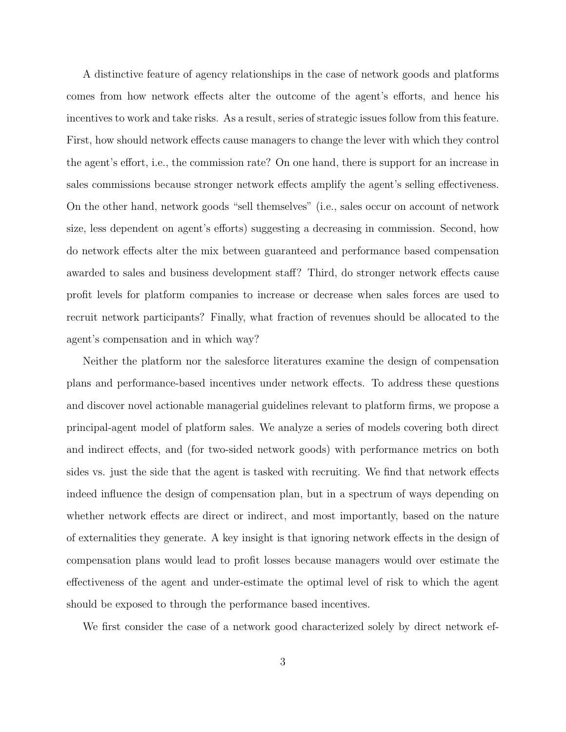A distinctive feature of agency relationships in the case of network goods and platforms comes from how network effects alter the outcome of the agent's efforts, and hence his incentives to work and take risks. As a result, series of strategic issues follow from this feature. First, how should network effects cause managers to change the lever with which they control the agent's effort, i.e., the commission rate? On one hand, there is support for an increase in sales commissions because stronger network effects amplify the agent's selling effectiveness. On the other hand, network goods "sell themselves" (i.e., sales occur on account of network size, less dependent on agent's efforts) suggesting a decreasing in commission. Second, how do network effects alter the mix between guaranteed and performance based compensation awarded to sales and business development staff? Third, do stronger network effects cause profit levels for platform companies to increase or decrease when sales forces are used to recruit network participants? Finally, what fraction of revenues should be allocated to the agent's compensation and in which way?

Neither the platform nor the salesforce literatures examine the design of compensation plans and performance-based incentives under network effects. To address these questions and discover novel actionable managerial guidelines relevant to platform firms, we propose a principal-agent model of platform sales. We analyze a series of models covering both direct and indirect effects, and (for two-sided network goods) with performance metrics on both sides vs. just the side that the agent is tasked with recruiting. We find that network effects indeed influence the design of compensation plan, but in a spectrum of ways depending on whether network effects are direct or indirect, and most importantly, based on the nature of externalities they generate. A key insight is that ignoring network effects in the design of compensation plans would lead to profit losses because managers would over estimate the effectiveness of the agent and under-estimate the optimal level of risk to which the agent should be exposed to through the performance based incentives.

We first consider the case of a network good characterized solely by direct network ef-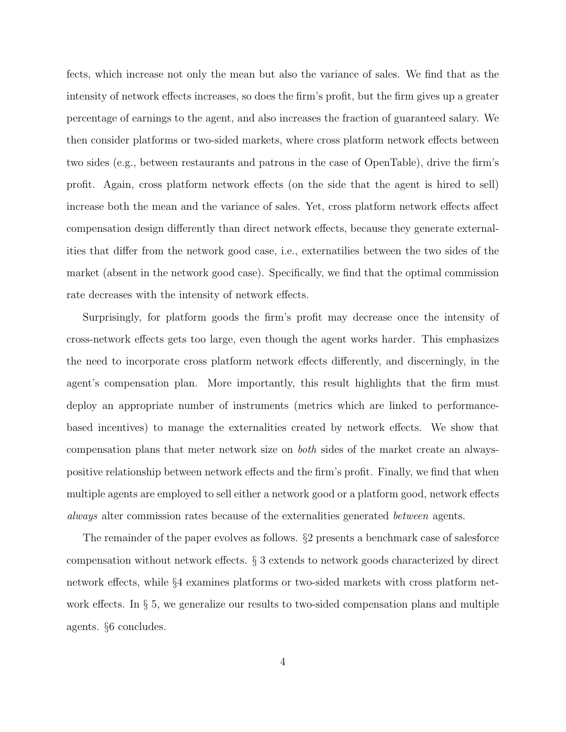fects, which increase not only the mean but also the variance of sales. We find that as the intensity of network effects increases, so does the firm's profit, but the firm gives up a greater percentage of earnings to the agent, and also increases the fraction of guaranteed salary. We then consider platforms or two-sided markets, where cross platform network effects between two sides (e.g., between restaurants and patrons in the case of OpenTable), drive the firm's profit. Again, cross platform network effects (on the side that the agent is hired to sell) increase both the mean and the variance of sales. Yet, cross platform network effects affect compensation design differently than direct network effects, because they generate externalities that differ from the network good case, i.e., externatilies between the two sides of the market (absent in the network good case). Specifically, we find that the optimal commission rate decreases with the intensity of network effects.

Surprisingly, for platform goods the firm's profit may decrease once the intensity of cross-network effects gets too large, even though the agent works harder. This emphasizes the need to incorporate cross platform network effects differently, and discerningly, in the agent's compensation plan. More importantly, this result highlights that the firm must deploy an appropriate number of instruments (metrics which are linked to performancebased incentives) to manage the externalities created by network effects. We show that compensation plans that meter network size on both sides of the market create an alwayspositive relationship between network effects and the firm's profit. Finally, we find that when multiple agents are employed to sell either a network good or a platform good, network effects always alter commission rates because of the externalities generated between agents.

The remainder of the paper evolves as follows. §2 presents a benchmark case of salesforce compensation without network effects. § 3 extends to network goods characterized by direct network effects, while §4 examines platforms or two-sided markets with cross platform network effects. In § 5, we generalize our results to two-sided compensation plans and multiple agents. §6 concludes.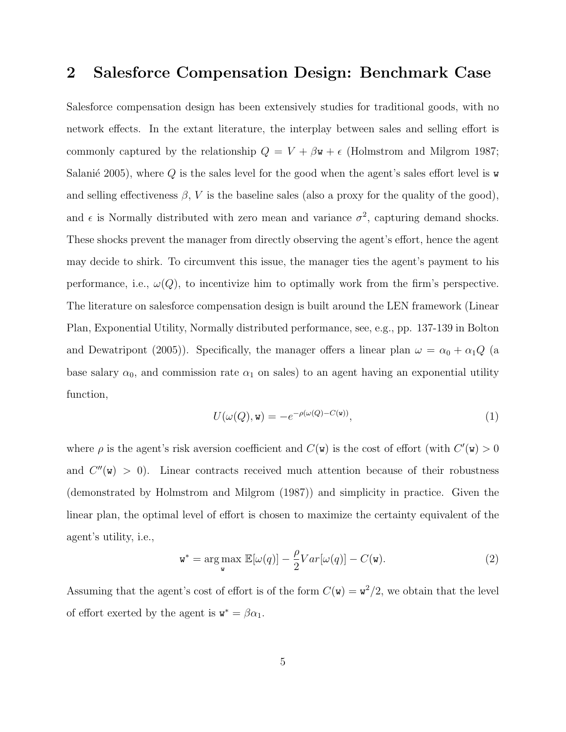### 2 Salesforce Compensation Design: Benchmark Case

Salesforce compensation design has been extensively studies for traditional goods, with no network effects. In the extant literature, the interplay between sales and selling effort is commonly captured by the relationship  $Q = V + \beta \mathbf{w} + \epsilon$  (Holmstrom and Milgrom 1987; Salanié 2005), where  $Q$  is the sales level for the good when the agent's sales effort level is w and selling effectiveness  $\beta$ , V is the baseline sales (also a proxy for the quality of the good), and  $\epsilon$  is Normally distributed with zero mean and variance  $\sigma^2$ , capturing demand shocks. These shocks prevent the manager from directly observing the agent's effort, hence the agent may decide to shirk. To circumvent this issue, the manager ties the agent's payment to his performance, i.e.,  $\omega(Q)$ , to incentivize him to optimally work from the firm's perspective. The literature on salesforce compensation design is built around the LEN framework (Linear Plan, Exponential Utility, Normally distributed performance, see, e.g., pp. 137-139 in Bolton and Dewatripont (2005)). Specifically, the manager offers a linear plan  $\omega = \alpha_0 + \alpha_1 Q$  (a base salary  $\alpha_0$ , and commission rate  $\alpha_1$  on sales) to an agent having an exponential utility function,

$$
U(\omega(Q), \mathbf{w}) = -e^{-\rho(\omega(Q) - C(\mathbf{w}))},\tag{1}
$$

where  $\rho$  is the agent's risk aversion coefficient and  $C(\mathbf{w})$  is the cost of effort (with  $C'(\mathbf{w}) > 0$ and  $C''(w) > 0$ . Linear contracts received much attention because of their robustness (demonstrated by Holmstrom and Milgrom (1987)) and simplicity in practice. Given the linear plan, the optimal level of effort is chosen to maximize the certainty equivalent of the agent's utility, i.e.,

$$
\mathbf{w}^* = \underset{\mathbf{w}}{\arg \max} \ \mathbb{E}[\omega(q)] - \frac{\rho}{2}Var[\omega(q)] - C(\mathbf{w}). \tag{2}
$$

Assuming that the agent's cost of effort is of the form  $C(\mathbf{w}) = \mathbf{w}^2/2$ , we obtain that the level of effort exerted by the agent is  $\mathbf{w}^* = \beta \alpha_1$ .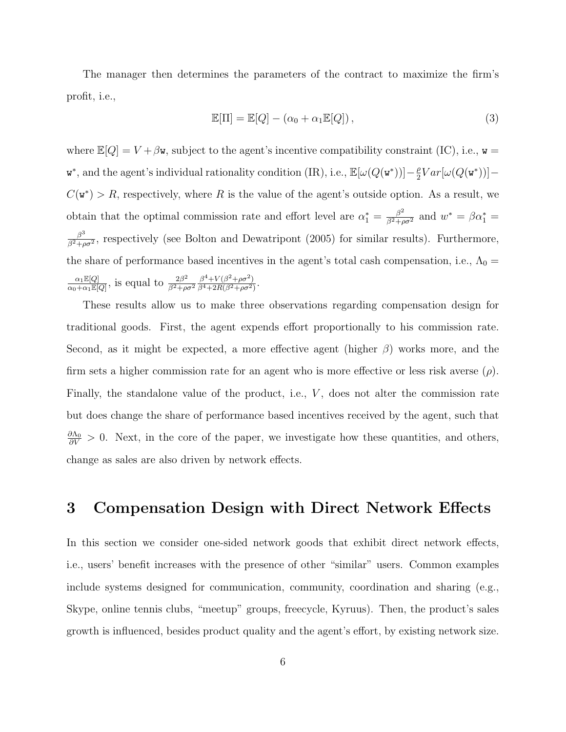The manager then determines the parameters of the contract to maximize the firm's profit, i.e.,

$$
\mathbb{E}[\Pi] = \mathbb{E}[Q] - (\alpha_0 + \alpha_1 \mathbb{E}[Q]),\tag{3}
$$

where  $\mathbb{E}[Q] = V + \beta \mathbf{w}$ , subject to the agent's incentive compatibility constraint (IC), i.e.,  $\mathbf{w} =$ **w**<sup>\*</sup>, and the agent's individual rationality condition (IR), i.e.,  $\mathbb{E}[\omega(Q(\mathbf{w}^*))]-\frac{\rho}{2}$  $\frac{\rho}{2}Var[\omega(Q(\mathbf{w}^*))]$  —  $C(\mathbf{w}^*) > R$ , respectively, where R is the value of the agent's outside option. As a result, we obtain that the optimal commission rate and effort level are  $\alpha_1^* = \frac{\beta^2}{\beta^2 + \rho \sigma^2}$  and  $w^* = \beta \alpha_1^* =$  $\beta^3$  $\frac{\beta^3}{\beta^2+\rho\sigma^2}$ , respectively (see Bolton and Dewatripont (2005) for similar results). Furthermore, the share of performance based incentives in the agent's total cash compensation, i.e.,  $\Lambda_0 =$  $\alpha_1 \mathbb{E}[Q]$  $\frac{\alpha_1 \mathbb{E}[Q]}{\alpha_0 + \alpha_1 \mathbb{E}[Q]}$ , is equal to  $\frac{2\beta^2}{\beta^2 + \rho}$  $\overline{\beta^2+\rho\sigma^2}$  $\beta^4 + V(\beta^2 + \rho \sigma^2)$  $\frac{\beta^4 + V(\beta^2 + \rho \sigma^2)}{\beta^4 + 2R(\beta^2 + \rho \sigma^2)}$ 

These results allow us to make three observations regarding compensation design for traditional goods. First, the agent expends effort proportionally to his commission rate. Second, as it might be expected, a more effective agent (higher  $\beta$ ) works more, and the firm sets a higher commission rate for an agent who is more effective or less risk averse  $(\rho)$ . Finally, the standalone value of the product, i.e.,  $V$ , does not alter the commission rate but does change the share of performance based incentives received by the agent, such that  $\frac{\partial \Lambda_0}{\partial V} > 0$ . Next, in the core of the paper, we investigate how these quantities, and others, change as sales are also driven by network effects.

### 3 Compensation Design with Direct Network Effects

In this section we consider one-sided network goods that exhibit direct network effects, i.e., users' benefit increases with the presence of other "similar" users. Common examples include systems designed for communication, community, coordination and sharing (e.g., Skype, online tennis clubs, "meetup" groups, freecycle, Kyruus). Then, the product's sales growth is influenced, besides product quality and the agent's effort, by existing network size.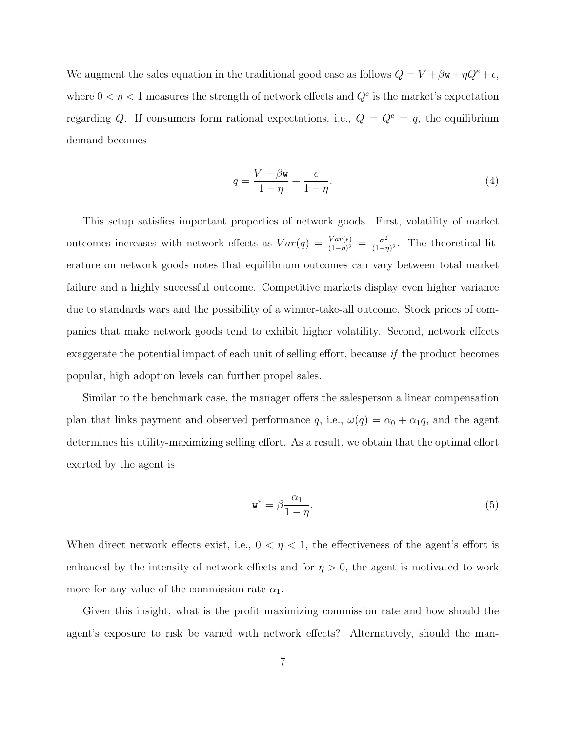We augment the sales equation in the traditional good case as follows  $Q = V + \beta \mathbf{w} + \eta Q^e + \epsilon$ , where  $0 < \eta < 1$  measures the strength of network effects and  $Q^e$  is the market's expectation regarding Q. If consumers form rational expectations, i.e.,  $Q = Q^e = q$ , the equilibrium demand becomes

$$
q = \frac{V + \beta \mathbf{w}}{1 - \eta} + \frac{\epsilon}{1 - \eta}.
$$
\n<sup>(4)</sup>

This setup satisfies important properties of network goods. First, volatility of market outcomes increases with network effects as  $Var(q) = \frac{Var(\epsilon)}{(1-\eta)^2} = \frac{\sigma^2}{(1-\eta)^2}$  $\frac{\sigma^2}{(1-\eta)^2}$ . The theoretical literature on network goods notes that equilibrium outcomes can vary between total market failure and a highly successful outcome. Competitive markets display even higher variance due to standards wars and the possibility of a winner-take-all outcome. Stock prices of companies that make network goods tend to exhibit higher volatility. Second, network effects exaggerate the potential impact of each unit of selling effort, because if the product becomes popular, high adoption levels can further propel sales.

Similar to the benchmark case, the manager offers the salesperson a linear compensation plan that links payment and observed performance q, i.e.,  $\omega(q) = \alpha_0 + \alpha_1 q$ , and the agent determines his utility-maximizing selling effort. As a result, we obtain that the optimal effort exerted by the agent is

$$
\mathbf{w}^* = \beta \frac{\alpha_1}{1 - \eta}.\tag{5}
$$

When direct network effects exist, i.e.,  $0 < \eta < 1$ , the effectiveness of the agent's effort is enhanced by the intensity of network effects and for  $\eta > 0$ , the agent is motivated to work more for any value of the commission rate  $\alpha_1$ .

Given this insight, what is the profit maximizing commission rate and how should the agent's exposure to risk be varied with network effects? Alternatively, should the man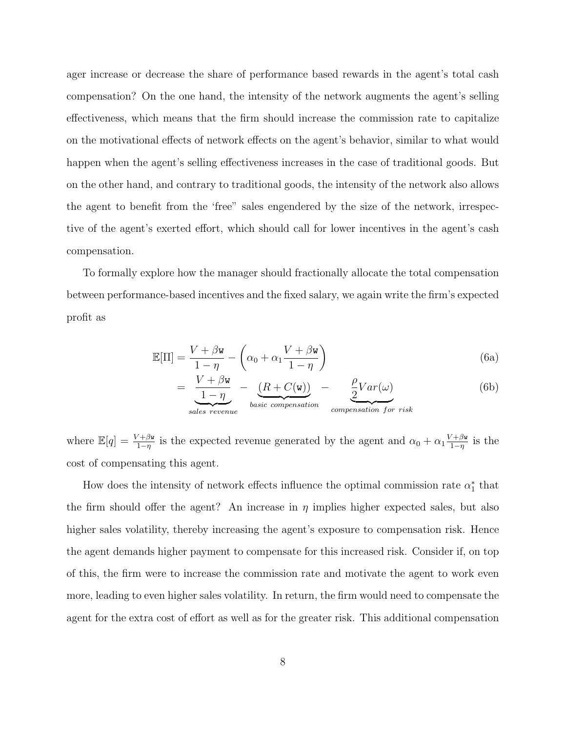ager increase or decrease the share of performance based rewards in the agent's total cash compensation? On the one hand, the intensity of the network augments the agent's selling effectiveness, which means that the firm should increase the commission rate to capitalize on the motivational effects of network effects on the agent's behavior, similar to what would happen when the agent's selling effectiveness increases in the case of traditional goods. But on the other hand, and contrary to traditional goods, the intensity of the network also allows the agent to benefit from the 'free" sales engendered by the size of the network, irrespective of the agent's exerted effort, which should call for lower incentives in the agent's cash compensation.

To formally explore how the manager should fractionally allocate the total compensation between performance-based incentives and the fixed salary, we again write the firm's expected profit as

$$
\mathbb{E}[\Pi] = \frac{V + \beta \mathbf{w}}{1 - \eta} - \left(\alpha_0 + \alpha_1 \frac{V + \beta \mathbf{w}}{1 - \eta}\right)
$$
(6a)

$$
= \underbrace{\frac{V + \beta \mathbf{w}}{1 - \eta}}_{sales\ revenue} - \underbrace{\frac{(R + C(\mathbf{w}))}{basic\ compensation}}_{compression} - \underbrace{\frac{\rho}{2}Var(\omega)}_{compensation\ for\ risk}
$$
(6b)

where  $\mathbb{E}[q] = \frac{V + \beta \mathbf{w}}{1-\eta}$  is the expected revenue generated by the agent and  $\alpha_0 + \alpha_1 \frac{V + \beta \mathbf{w}}{1-\eta}$  $\frac{\gamma + \beta \mathbf{w}}{1 - \eta}$  is the cost of compensating this agent.

How does the intensity of network effects influence the optimal commission rate  $\alpha_1^*$  that the firm should offer the agent? An increase in  $\eta$  implies higher expected sales, but also higher sales volatility, thereby increasing the agent's exposure to compensation risk. Hence the agent demands higher payment to compensate for this increased risk. Consider if, on top of this, the firm were to increase the commission rate and motivate the agent to work even more, leading to even higher sales volatility. In return, the firm would need to compensate the agent for the extra cost of effort as well as for the greater risk. This additional compensation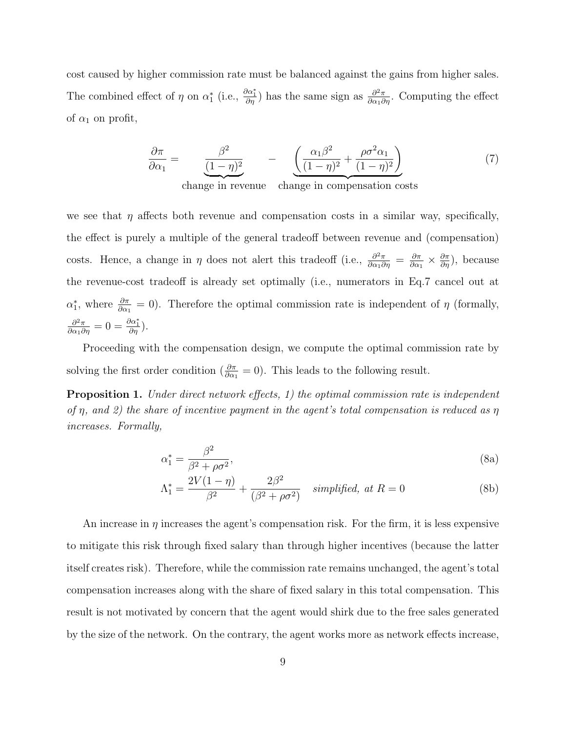cost caused by higher commission rate must be balanced against the gains from higher sales. The combined effect of  $\eta$  on  $\alpha_1^*$  (i.e.,  $\frac{\partial \alpha_1^*}{\partial \eta}$ ) has the same sign as  $\frac{\partial^2 \pi}{\partial \alpha_1 \partial \eta}$ . Computing the effect of  $\alpha_1$  on profit,

$$
\frac{\partial \pi}{\partial \alpha_1} = \underbrace{\frac{\beta^2}{(1-\eta)^2}}_{\text{change in revenue}} - \underbrace{\left(\frac{\alpha_1 \beta^2}{(1-\eta)^2} + \frac{\rho \sigma^2 \alpha_1}{(1-\eta)^2}\right)}_{\text{change in compensation costs}}
$$
(7)

we see that  $\eta$  affects both revenue and compensation costs in a similar way, specifically, the effect is purely a multiple of the general tradeoff between revenue and (compensation) costs. Hence, a change in  $\eta$  does not alert this tradeoff (i.e.,  $\frac{\partial^2 \pi}{\partial \alpha_1 \partial \eta} = \frac{\partial \pi}{\partial \alpha_2 \partial \eta}$  $\frac{\partial \pi}{\partial \alpha_1} \times \frac{\partial \pi}{\partial \eta}$ , because the revenue-cost tradeoff is already set optimally (i.e., numerators in Eq.7 cancel out at  $\alpha_1^*$ , where  $\frac{\partial \pi}{\partial \alpha_1} = 0$ . Therefore the optimal commission rate is independent of  $\eta$  (formally,  $\frac{\partial^2 \pi}{\partial \alpha_1 \partial \eta} = 0 = \frac{\partial \alpha_1^*}{\partial \eta}.$ 

Proceeding with the compensation design, we compute the optimal commission rate by solving the first order condition ( $\frac{\partial \pi}{\partial \alpha_1} = 0$ ). This leads to the following result.

**Proposition 1.** Under direct network effects, 1) the optimal commission rate is independent of  $\eta$ , and 2) the share of incentive payment in the agent's total compensation is reduced as  $\eta$ increases. Formally,

$$
\alpha_1^* = \frac{\beta^2}{\beta^2 + \rho \sigma^2},\tag{8a}
$$

$$
\Lambda_1^* = \frac{2V(1-\eta)}{\beta^2} + \frac{2\beta^2}{(\beta^2 + \rho\sigma^2)} \quad simplified, \ at \ R = 0 \tag{8b}
$$

An increase in  $\eta$  increases the agent's compensation risk. For the firm, it is less expensive to mitigate this risk through fixed salary than through higher incentives (because the latter itself creates risk). Therefore, while the commission rate remains unchanged, the agent's total compensation increases along with the share of fixed salary in this total compensation. This result is not motivated by concern that the agent would shirk due to the free sales generated by the size of the network. On the contrary, the agent works more as network effects increase,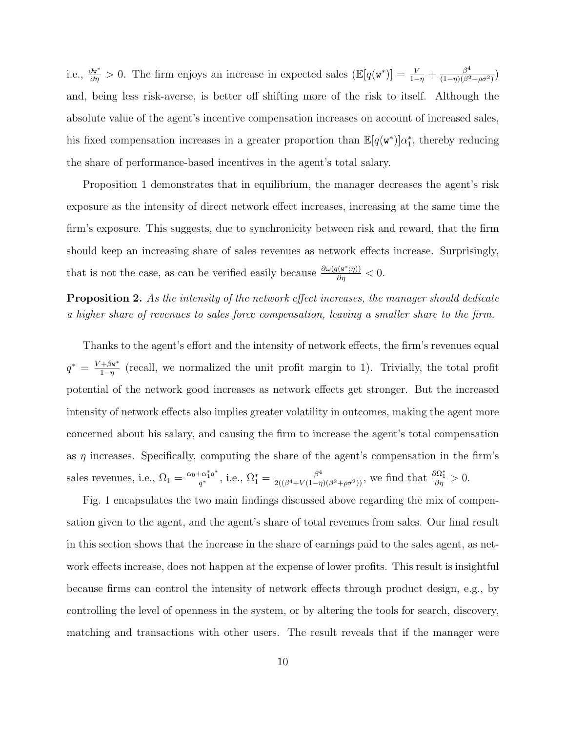i.e.,  $\frac{\partial \mathbf{w}^*}{\partial \eta} > 0$ . The firm enjoys an increase in expected sales  $(\mathbb{E}[q(\mathbf{w}^*)] = \frac{V}{1-\eta} + \frac{\beta^4}{(1-\eta)(\beta^2)}$  $\frac{\beta^4}{(1-\eta)(\beta^2+\rho\sigma^2)}$ and, being less risk-averse, is better off shifting more of the risk to itself. Although the absolute value of the agent's incentive compensation increases on account of increased sales, his fixed compensation increases in a greater proportion than  $\mathbb{E}[q(\mathbf{w}^*)] \alpha_1^*$ , thereby reducing the share of performance-based incentives in the agent's total salary.

Proposition 1 demonstrates that in equilibrium, the manager decreases the agent's risk exposure as the intensity of direct network effect increases, increasing at the same time the firm's exposure. This suggests, due to synchronicity between risk and reward, that the firm should keep an increasing share of sales revenues as network effects increase. Surprisingly, that is not the case, as can be verified easily because  $\frac{\partial \omega(q(\mathbf{w}^*,\eta))}{\partial \eta}<0.$ 

Proposition 2. As the intensity of the network effect increases, the manager should dedicate a higher share of revenues to sales force compensation, leaving a smaller share to the firm.

Thanks to the agent's effort and the intensity of network effects, the firm's revenues equal  $q^* = \frac{V + \beta \mathbf{w}^*}{1 - n}$  $\frac{+\beta \mathbf{w}^*}{1-\eta}$  (recall, we normalized the unit profit margin to 1). Trivially, the total profit potential of the network good increases as network effects get stronger. But the increased intensity of network effects also implies greater volatility in outcomes, making the agent more concerned about his salary, and causing the firm to increase the agent's total compensation as  $\eta$  increases. Specifically, computing the share of the agent's compensation in the firm's sales revenues, i.e.,  $\Omega_1 = \frac{\alpha_0 + \alpha_1^* q^*}{q^*}$  $\frac{\partial^4 \alpha_1^* q^*}{q^*}$ , i.e.,  $\Omega_1^* = \frac{\beta^4}{2((\beta^4 + V(1-\eta)(\beta^2 + \rho \sigma^2))})$ , we find that  $\frac{\partial \Omega_1^*}{\partial \eta} > 0$ .

Fig. 1 encapsulates the two main findings discussed above regarding the mix of compensation given to the agent, and the agent's share of total revenues from sales. Our final result in this section shows that the increase in the share of earnings paid to the sales agent, as network effects increase, does not happen at the expense of lower profits. This result is insightful because firms can control the intensity of network effects through product design, e.g., by controlling the level of openness in the system, or by altering the tools for search, discovery, matching and transactions with other users. The result reveals that if the manager were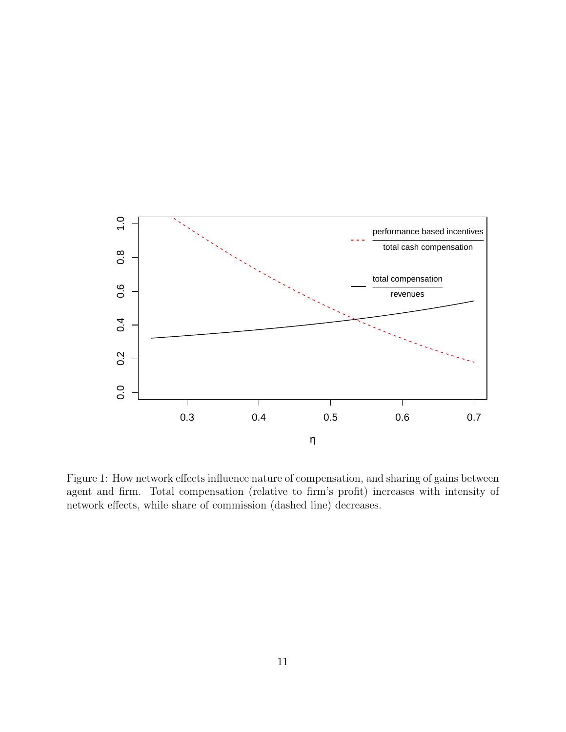

Figure 1: How network effects influence nature of compensation, and sharing of gains between agent and firm. Total compensation (relative to firm's profit) increases with intensity of network effects, while share of commission (dashed line) decreases.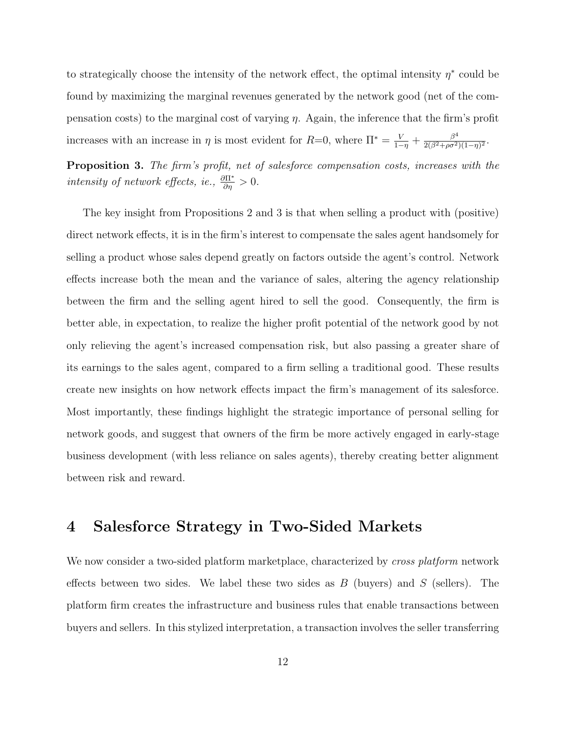to strategically choose the intensity of the network effect, the optimal intensity  $\eta^*$  could be found by maximizing the marginal revenues generated by the network good (net of the compensation costs) to the marginal cost of varying  $\eta$ . Again, the inference that the firm's profit increases with an increase in  $\eta$  is most evident for  $R=0$ , where  $\Pi^* = \frac{V}{1-\eta} + \frac{\beta^4}{2(\beta^2 + \rho\sigma^2)}$  $\frac{\beta^4}{2(\beta^2+\rho\sigma^2)(1-\eta)^2}.$ 

Proposition 3. The firm's profit, net of salesforce compensation costs, increases with the intensity of network effects, ie.,  $\frac{\partial \Pi^*}{\partial \eta} > 0$ .

The key insight from Propositions 2 and 3 is that when selling a product with (positive) direct network effects, it is in the firm's interest to compensate the sales agent handsomely for selling a product whose sales depend greatly on factors outside the agent's control. Network effects increase both the mean and the variance of sales, altering the agency relationship between the firm and the selling agent hired to sell the good. Consequently, the firm is better able, in expectation, to realize the higher profit potential of the network good by not only relieving the agent's increased compensation risk, but also passing a greater share of its earnings to the sales agent, compared to a firm selling a traditional good. These results create new insights on how network effects impact the firm's management of its salesforce. Most importantly, these findings highlight the strategic importance of personal selling for network goods, and suggest that owners of the firm be more actively engaged in early-stage business development (with less reliance on sales agents), thereby creating better alignment between risk and reward.

### 4 Salesforce Strategy in Two-Sided Markets

We now consider a two-sided platform marketplace, characterized by *cross platform* network effects between two sides. We label these two sides as  $B$  (buyers) and  $S$  (sellers). The platform firm creates the infrastructure and business rules that enable transactions between buyers and sellers. In this stylized interpretation, a transaction involves the seller transferring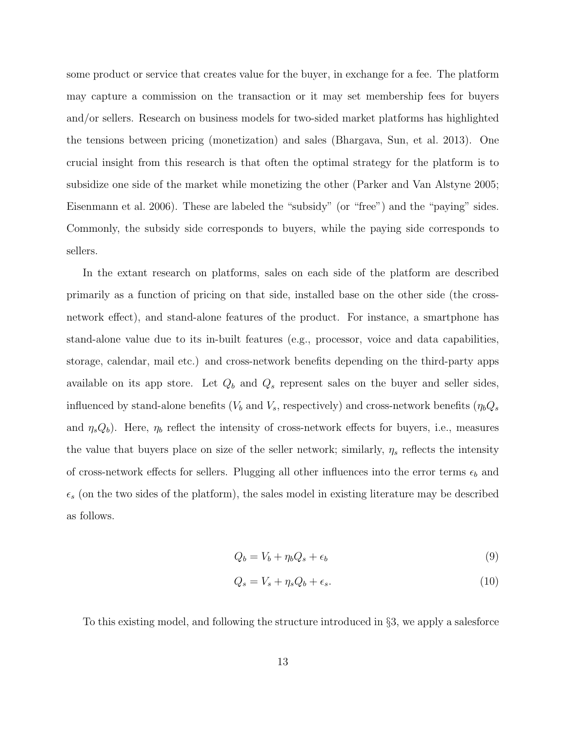some product or service that creates value for the buyer, in exchange for a fee. The platform may capture a commission on the transaction or it may set membership fees for buyers and/or sellers. Research on business models for two-sided market platforms has highlighted the tensions between pricing (monetization) and sales (Bhargava, Sun, et al. 2013). One crucial insight from this research is that often the optimal strategy for the platform is to subsidize one side of the market while monetizing the other (Parker and Van Alstyne 2005; Eisenmann et al. 2006). These are labeled the "subsidy" (or "free") and the "paying" sides. Commonly, the subsidy side corresponds to buyers, while the paying side corresponds to sellers.

In the extant research on platforms, sales on each side of the platform are described primarily as a function of pricing on that side, installed base on the other side (the crossnetwork effect), and stand-alone features of the product. For instance, a smartphone has stand-alone value due to its in-built features (e.g., processor, voice and data capabilities, storage, calendar, mail etc.) and cross-network benefits depending on the third-party apps available on its app store. Let  $Q_b$  and  $Q_s$  represent sales on the buyer and seller sides, influenced by stand-alone benefits ( $V_b$  and  $V_s$ , respectively) and cross-network benefits ( $\eta_b Q_s$ and  $\eta_s Q_b$ ). Here,  $\eta_b$  reflect the intensity of cross-network effects for buyers, i.e., measures the value that buyers place on size of the seller network; similarly,  $\eta_s$  reflects the intensity of cross-network effects for sellers. Plugging all other influences into the error terms  $\epsilon_b$  and  $\epsilon_s$  (on the two sides of the platform), the sales model in existing literature may be described as follows.

$$
Q_b = V_b + \eta_b Q_s + \epsilon_b \tag{9}
$$

$$
Q_s = V_s + \eta_s Q_b + \epsilon_s. \tag{10}
$$

To this existing model, and following the structure introduced in §3, we apply a salesforce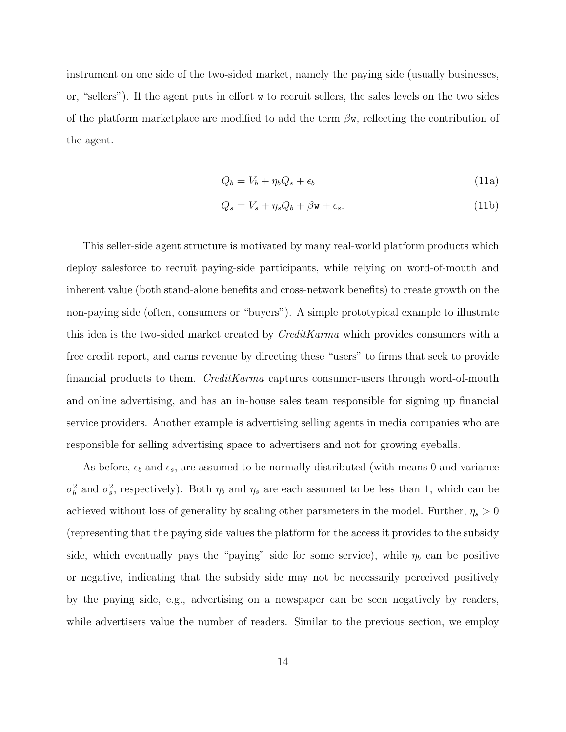instrument on one side of the two-sided market, namely the paying side (usually businesses, or, "sellers"). If the agent puts in effort w to recruit sellers, the sales levels on the two sides of the platform marketplace are modified to add the term  $\beta w$ , reflecting the contribution of the agent.

$$
Q_b = V_b + \eta_b Q_s + \epsilon_b \tag{11a}
$$

$$
Q_s = V_s + \eta_s Q_b + \beta \mathbf{w} + \epsilon_s. \tag{11b}
$$

This seller-side agent structure is motivated by many real-world platform products which deploy salesforce to recruit paying-side participants, while relying on word-of-mouth and inherent value (both stand-alone benefits and cross-network benefits) to create growth on the non-paying side (often, consumers or "buyers"). A simple prototypical example to illustrate this idea is the two-sided market created by *CreditKarma* which provides consumers with a free credit report, and earns revenue by directing these "users" to firms that seek to provide financial products to them. CreditKarma captures consumer-users through word-of-mouth and online advertising, and has an in-house sales team responsible for signing up financial service providers. Another example is advertising selling agents in media companies who are responsible for selling advertising space to advertisers and not for growing eyeballs.

As before,  $\epsilon_b$  and  $\epsilon_s$ , are assumed to be normally distributed (with means 0 and variance  $\sigma_b^2$  and  $\sigma_s^2$ , respectively). Both  $\eta_b$  and  $\eta_s$  are each assumed to be less than 1, which can be achieved without loss of generality by scaling other parameters in the model. Further,  $\eta_s > 0$ (representing that the paying side values the platform for the access it provides to the subsidy side, which eventually pays the "paying" side for some service), while  $\eta_b$  can be positive or negative, indicating that the subsidy side may not be necessarily perceived positively by the paying side, e.g., advertising on a newspaper can be seen negatively by readers, while advertisers value the number of readers. Similar to the previous section, we employ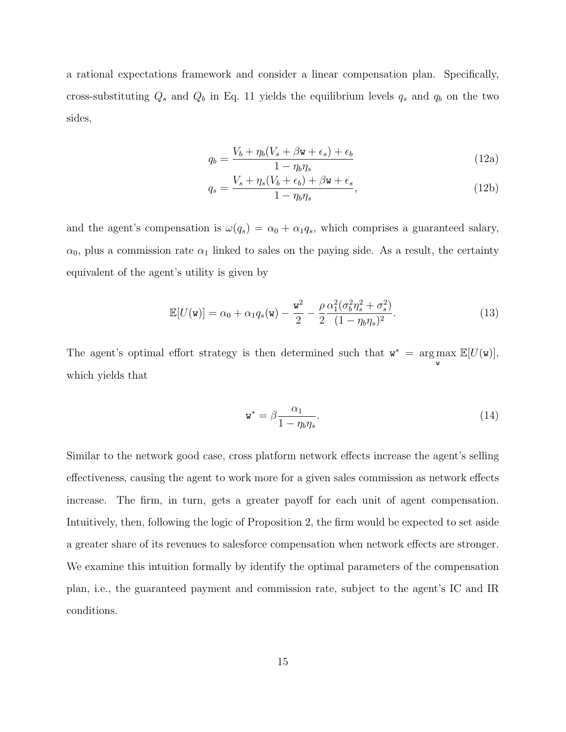a rational expectations framework and consider a linear compensation plan. Specifically, cross-substituting  $Q_s$  and  $Q_b$  in Eq. 11 yields the equilibrium levels  $q_s$  and  $q_b$  on the two sides,

$$
q_b = \frac{V_b + \eta_b (V_s + \beta \mathbf{w} + \epsilon_s) + \epsilon_b}{1 - \eta_b \eta_s} \tag{12a}
$$

$$
q_s = \frac{V_s + \eta_s (V_b + \epsilon_b) + \beta \mathbf{w} + \epsilon_s}{1 - \eta_b \eta_s},\tag{12b}
$$

and the agent's compensation is  $\omega(q_s) = \alpha_0 + \alpha_1 q_s$ , which comprises a guaranteed salary,  $\alpha_0$ , plus a commission rate  $\alpha_1$  linked to sales on the paying side. As a result, the certainty equivalent of the agent's utility is given by

$$
\mathbb{E}[U(\mathbf{w})] = \alpha_0 + \alpha_1 q_s(\mathbf{w}) - \frac{\mathbf{w}^2}{2} - \frac{\rho}{2} \frac{\alpha_1^2 (\sigma_b^2 \eta_s^2 + \sigma_s^2)}{(1 - \eta_b \eta_s)^2}.
$$
\n(13)

The agent's optimal effort strategy is then determined such that  $w^* = \arg \max$ w  $\mathbb{E}[U(\mathsf{w})],$ which yields that

$$
\mathbf{w}^* = \beta \frac{\alpha_1}{1 - \eta_b \eta_s}.\tag{14}
$$

Similar to the network good case, cross platform network effects increase the agent's selling effectiveness, causing the agent to work more for a given sales commission as network effects increase. The firm, in turn, gets a greater payoff for each unit of agent compensation. Intuitively, then, following the logic of Proposition 2, the firm would be expected to set aside a greater share of its revenues to salesforce compensation when network effects are stronger. We examine this intuition formally by identify the optimal parameters of the compensation plan, i.e., the guaranteed payment and commission rate, subject to the agent's IC and IR conditions.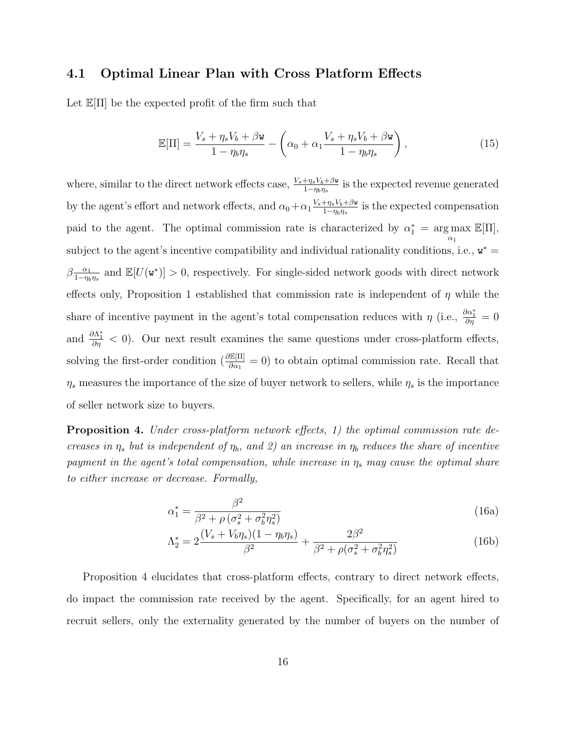### 4.1 Optimal Linear Plan with Cross Platform Effects

Let  $\mathbb{E}[\Pi]$  be the expected profit of the firm such that

$$
\mathbb{E}[\Pi] = \frac{V_s + \eta_s V_b + \beta \mathbf{w}}{1 - \eta_b \eta_s} - \left(\alpha_0 + \alpha_1 \frac{V_s + \eta_s V_b + \beta \mathbf{w}}{1 - \eta_b \eta_s}\right),\tag{15}
$$

where, similar to the direct network effects case,  $\frac{V_s + \eta_s V_b + \beta_w}{1 - \eta_b \eta_s}$  is the expected revenue generated by the agent's effort and network effects, and  $\alpha_0 + \alpha_1 \frac{V_s + \eta_s V_b + \beta w}{1 - n_0 n_0}$  $\frac{+\eta_s V_b + \beta \mathbf{w}}{1-\eta_b \eta_s}$  is the expected compensation paid to the agent. The optimal commission rate is characterized by  $\alpha_1^* = \arg \max_{\alpha_1}$  $\mathbb{E}[\Pi],$ subject to the agent's incentive compatibility and individual rationality conditions, i.e.,  $w^* =$  $\beta \frac{\alpha_1}{1-n}$  $\frac{\alpha_1}{1-\eta_b\eta_s}$  and  $\mathbb{E}[U(\mathbf{w}^*)] > 0$ , respectively. For single-sided network goods with direct network effects only, Proposition 1 established that commission rate is independent of  $\eta$  while the share of incentive payment in the agent's total compensation reduces with  $\eta$  (i.e.,  $\frac{\partial \alpha_1^*}{\partial \eta} = 0$ and  $\frac{\partial \Lambda_1^*}{\partial \eta}$  < 0). Our next result examines the same questions under cross-platform effects, solving the first-order condition  $\left(\frac{\partial \mathbb{E}[\Pi]}{\partial \alpha_1} = 0\right)$  to obtain optimal commission rate. Recall that  $\eta_s$  measures the importance of the size of buyer network to sellers, while  $\eta_s$  is the importance of seller network size to buyers.

Proposition 4. Under cross-platform network effects, 1) the optimal commission rate decreases in  $\eta_s$  but is independent of  $\eta_b$ , and 2) an increase in  $\eta_b$  reduces the share of incentive payment in the agent's total compensation, while increase in  $\eta_s$  may cause the optimal share to either increase or decrease. Formally,

$$
\alpha_1^* = \frac{\beta^2}{\beta^2 + \rho \left(\sigma_s^2 + \sigma_b^2 \eta_s^2\right)}
$$
\n(16a)

$$
\Lambda_2^* = 2\frac{(V_s + V_b \eta_s)(1 - \eta_b \eta_s)}{\beta^2} + \frac{2\beta^2}{\beta^2 + \rho(\sigma_s^2 + \sigma_b^2 \eta_s^2)}
$$
(16b)

Proposition 4 elucidates that cross-platform effects, contrary to direct network effects, do impact the commission rate received by the agent. Specifically, for an agent hired to recruit sellers, only the externality generated by the number of buyers on the number of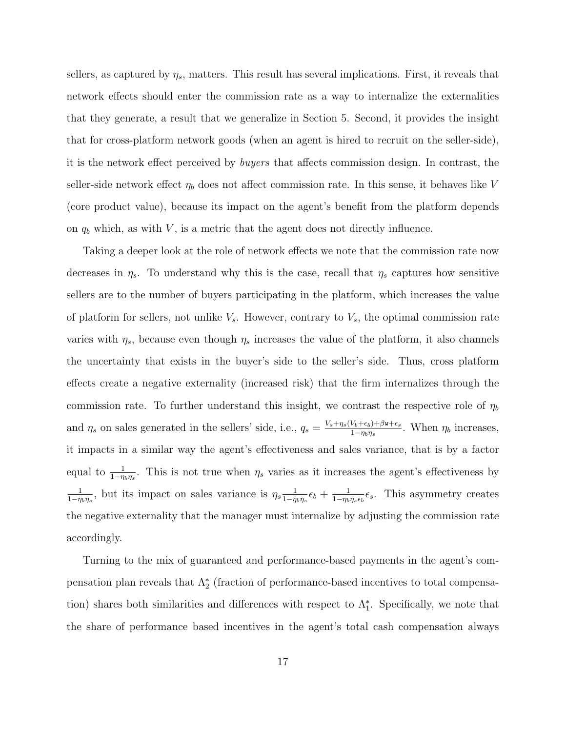sellers, as captured by  $\eta_s$ , matters. This result has several implications. First, it reveals that network effects should enter the commission rate as a way to internalize the externalities that they generate, a result that we generalize in Section 5. Second, it provides the insight that for cross-platform network goods (when an agent is hired to recruit on the seller-side), it is the network effect perceived by buyers that affects commission design. In contrast, the seller-side network effect  $\eta_b$  does not affect commission rate. In this sense, it behaves like V (core product value), because its impact on the agent's benefit from the platform depends on  $q_b$  which, as with V, is a metric that the agent does not directly influence.

Taking a deeper look at the role of network effects we note that the commission rate now decreases in  $\eta_s$ . To understand why this is the case, recall that  $\eta_s$  captures how sensitive sellers are to the number of buyers participating in the platform, which increases the value of platform for sellers, not unlike  $V_s$ . However, contrary to  $V_s$ , the optimal commission rate varies with  $\eta_s$ , because even though  $\eta_s$  increases the value of the platform, it also channels the uncertainty that exists in the buyer's side to the seller's side. Thus, cross platform effects create a negative externality (increased risk) that the firm internalizes through the commission rate. To further understand this insight, we contrast the respective role of  $\eta_b$ and  $\eta_s$  on sales generated in the sellers' side, i.e.,  $q_s = \frac{V_s + \eta_s (V_b + \epsilon_b) + \beta \mathbf{w} + \epsilon_s}{1 - \eta_s \eta_s}$  $\frac{\nu_b + \epsilon_b + \beta \mathbf{w} + \epsilon_s}{1 - \eta_b \eta_s}$ . When  $\eta_b$  increases, it impacts in a similar way the agent's effectiveness and sales variance, that is by a factor equal to  $\frac{1}{1-\eta_b\eta_s}$ . This is not true when  $\eta_s$  varies as it increases the agent's effectiveness by 1  $\frac{1}{1-\eta_b\eta_s}$ , but its impact on sales variance is  $\eta_s \frac{1}{1-\eta_s}$  $\frac{1}{1-\eta_b\eta_s}\epsilon_b+\frac{1}{1-\eta_b}$  $\frac{1}{1-\eta_b\eta_s\epsilon_b}\epsilon_s$ . This asymmetry creates the negative externality that the manager must internalize by adjusting the commission rate accordingly.

Turning to the mix of guaranteed and performance-based payments in the agent's compensation plan reveals that  $\Lambda_2^*$  (fraction of performance-based incentives to total compensation) shares both similarities and differences with respect to  $\Lambda_{1}^{*}$ . Specifically, we note that the share of performance based incentives in the agent's total cash compensation always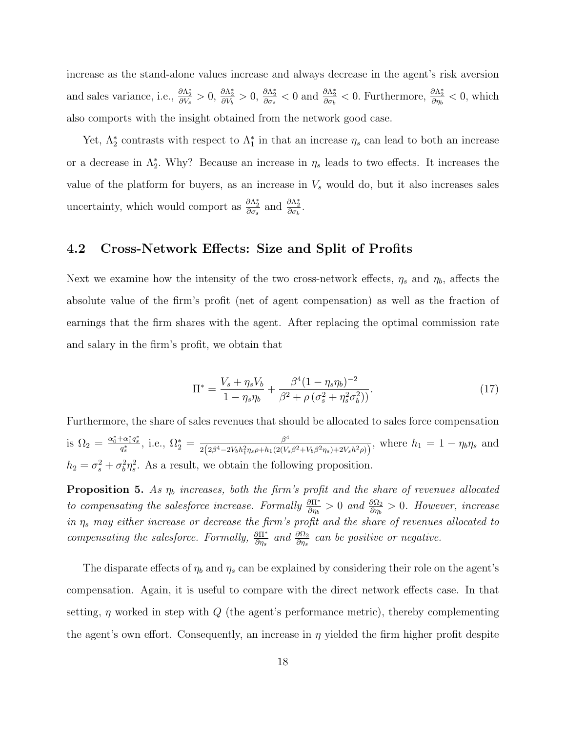increase as the stand-alone values increase and always decrease in the agent's risk aversion and sales variance, i.e.,  $\frac{\partial \Lambda_2^*}{\partial V_s} > 0$ ,  $\frac{\partial \Lambda_2^*}{\partial V_b} > 0$ ,  $\frac{\partial \Lambda_2^*}{\partial \sigma_s} < 0$  and  $\frac{\partial \Lambda_2^*}{\partial \sigma_b} < 0$ . Furthermore,  $\frac{\partial \Lambda_2^*}{\partial \eta_b} < 0$ , which also comports with the insight obtained from the network good case.

Yet,  $\Lambda_2^*$  contrasts with respect to  $\Lambda_1^*$  in that an increase  $\eta_s$  can lead to both an increase or a decrease in  $\Lambda_2^*$ . Why? Because an increase in  $\eta_s$  leads to two effects. It increases the value of the platform for buyers, as an increase in  $V_s$  would do, but it also increases sales uncertainty, which would comport as  $\frac{\partial \Lambda_2^*}{\partial \sigma_s}$  and  $\frac{\partial \Lambda_2^*}{\partial \sigma_b}$ .

### 4.2 Cross-Network Effects: Size and Split of Profits

Next we examine how the intensity of the two cross-network effects,  $\eta_s$  and  $\eta_b$ , affects the absolute value of the firm's profit (net of agent compensation) as well as the fraction of earnings that the firm shares with the agent. After replacing the optimal commission rate and salary in the firm's profit, we obtain that

$$
\Pi^* = \frac{V_s + \eta_s V_b}{1 - \eta_s \eta_b} + \frac{\beta^4 (1 - \eta_s \eta_b)^{-2}}{\beta^2 + \rho \left(\sigma_s^2 + \eta_s^2 \sigma_b^2\right)}.
$$
\n(17)

Furthermore, the share of sales revenues that should be allocated to sales force compensation is  $\Omega_2 = \frac{\alpha_0^* + \alpha_1^* q_s^*}{q_s^*}$ , i.e.,  $\Omega_2^* = \frac{\beta^4}{2(2\beta^4 - 2V_b h_1^2 \eta_s \rho + h_1(2(V_b h_1^2 \eta_s \rho + h_2^*)^2)}$  $\frac{\beta^4}{2(2\beta^4 - 2V_b h_1^2 \eta_s \rho + h_1(2(V_s \beta^2 + V_b \beta^2 \eta_s) + 2V_s h^2 \rho))}$ , where  $h_1 = 1 - \eta_b \eta_s$  and  $h_2 = \sigma_s^2 + \sigma_b^2 \eta_s^2$ . As a result, we obtain the following proposition.

**Proposition 5.** As  $\eta_b$  increases, both the firm's profit and the share of revenues allocated to compensating the salesforce increase. Formally  $\frac{\partial \Pi^*}{\partial \eta_b} > 0$  and  $\frac{\partial \Omega_2}{\partial \eta_b} > 0$ . However, increase in  $\eta_s$  may either increase or decrease the firm's profit and the share of revenues allocated to compensating the salesforce. Formally,  $\frac{\partial \Pi^*}{\partial \eta_s}$  and  $\frac{\partial \Omega_2}{\partial \eta_s}$  can be positive or negative.

The disparate effects of  $\eta_b$  and  $\eta_s$  can be explained by considering their role on the agent's compensation. Again, it is useful to compare with the direct network effects case. In that setting,  $\eta$  worked in step with  $Q$  (the agent's performance metric), thereby complementing the agent's own effort. Consequently, an increase in  $\eta$  yielded the firm higher profit despite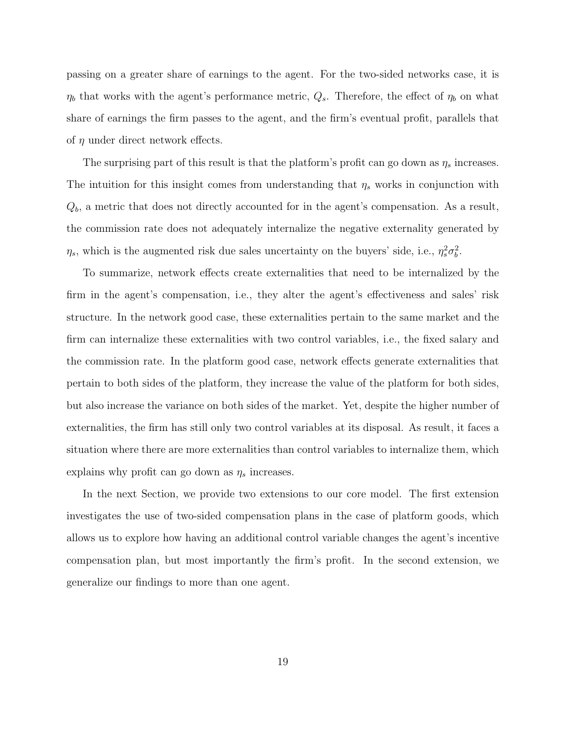passing on a greater share of earnings to the agent. For the two-sided networks case, it is  $\eta_b$  that works with the agent's performance metric,  $Q_s$ . Therefore, the effect of  $\eta_b$  on what share of earnings the firm passes to the agent, and the firm's eventual profit, parallels that of  $\eta$  under direct network effects.

The surprising part of this result is that the platform's profit can go down as  $\eta_s$  increases. The intuition for this insight comes from understanding that  $\eta_s$  works in conjunction with  $Q<sub>b</sub>$ , a metric that does not directly accounted for in the agent's compensation. As a result, the commission rate does not adequately internalize the negative externality generated by  $\eta_s$ , which is the augmented risk due sales uncertainty on the buyers' side, i.e.,  $\eta_s^2 \sigma_b^2$ .

To summarize, network effects create externalities that need to be internalized by the firm in the agent's compensation, i.e., they alter the agent's effectiveness and sales' risk structure. In the network good case, these externalities pertain to the same market and the firm can internalize these externalities with two control variables, i.e., the fixed salary and the commission rate. In the platform good case, network effects generate externalities that pertain to both sides of the platform, they increase the value of the platform for both sides, but also increase the variance on both sides of the market. Yet, despite the higher number of externalities, the firm has still only two control variables at its disposal. As result, it faces a situation where there are more externalities than control variables to internalize them, which explains why profit can go down as  $\eta_s$  increases.

In the next Section, we provide two extensions to our core model. The first extension investigates the use of two-sided compensation plans in the case of platform goods, which allows us to explore how having an additional control variable changes the agent's incentive compensation plan, but most importantly the firm's profit. In the second extension, we generalize our findings to more than one agent.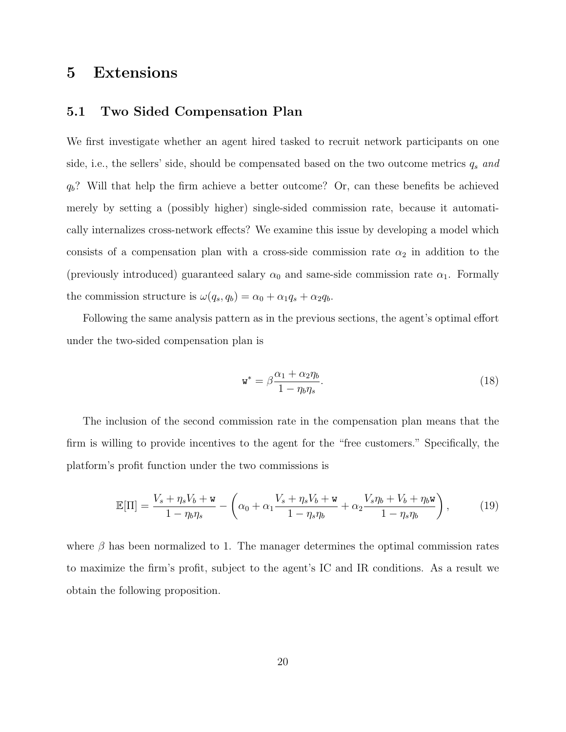### 5 Extensions

### 5.1 Two Sided Compensation Plan

We first investigate whether an agent hired tasked to recruit network participants on one side, i.e., the sellers' side, should be compensated based on the two outcome metrics  $q_s$  and  $q_b$ ? Will that help the firm achieve a better outcome? Or, can these benefits be achieved merely by setting a (possibly higher) single-sided commission rate, because it automatically internalizes cross-network effects? We examine this issue by developing a model which consists of a compensation plan with a cross-side commission rate  $\alpha_2$  in addition to the (previously introduced) guaranteed salary  $\alpha_0$  and same-side commission rate  $\alpha_1$ . Formally the commission structure is  $\omega(q_s, q_b) = \alpha_0 + \alpha_1 q_s + \alpha_2 q_b$ .

Following the same analysis pattern as in the previous sections, the agent's optimal effort under the two-sided compensation plan is

$$
\mathbf{w}^* = \beta \frac{\alpha_1 + \alpha_2 \eta_b}{1 - \eta_b \eta_s}.\tag{18}
$$

The inclusion of the second commission rate in the compensation plan means that the firm is willing to provide incentives to the agent for the "free customers." Specifically, the platform's profit function under the two commissions is

$$
\mathbb{E}[\Pi] = \frac{V_s + \eta_s V_b + \mathbf{w}}{1 - \eta_b \eta_s} - \left(\alpha_0 + \alpha_1 \frac{V_s + \eta_s V_b + \mathbf{w}}{1 - \eta_s \eta_b} + \alpha_2 \frac{V_s \eta_b + V_b + \eta_b \mathbf{w}}{1 - \eta_s \eta_b}\right),\tag{19}
$$

where  $\beta$  has been normalized to 1. The manager determines the optimal commission rates to maximize the firm's profit, subject to the agent's IC and IR conditions. As a result we obtain the following proposition.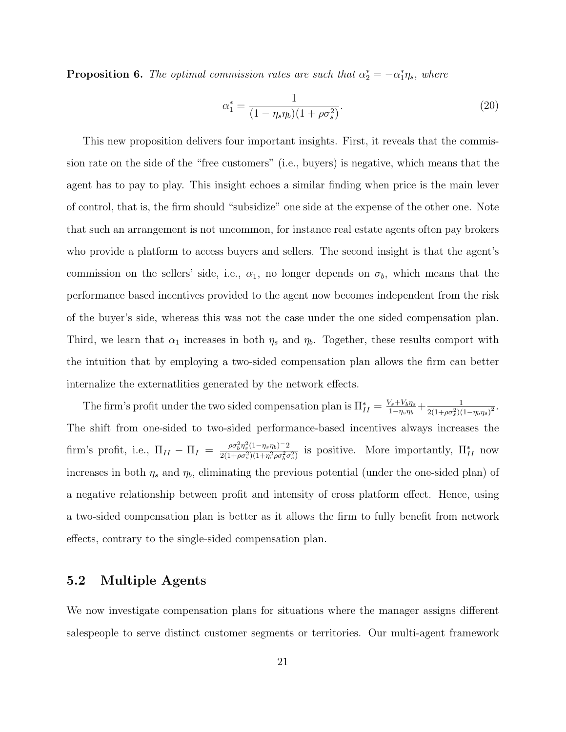**Proposition 6.** The optimal commission rates are such that  $\alpha_2^* = -\alpha_1^* \eta_s$ , where

$$
\alpha_1^* = \frac{1}{(1 - \eta_s \eta_b)(1 + \rho \sigma_s^2)}.\tag{20}
$$

This new proposition delivers four important insights. First, it reveals that the commission rate on the side of the "free customers" (i.e., buyers) is negative, which means that the agent has to pay to play. This insight echoes a similar finding when price is the main lever of control, that is, the firm should "subsidize" one side at the expense of the other one. Note that such an arrangement is not uncommon, for instance real estate agents often pay brokers who provide a platform to access buyers and sellers. The second insight is that the agent's commission on the sellers' side, i.e.,  $\alpha_1$ , no longer depends on  $\sigma_b$ , which means that the performance based incentives provided to the agent now becomes independent from the risk of the buyer's side, whereas this was not the case under the one sided compensation plan. Third, we learn that  $\alpha_1$  increases in both  $\eta_s$  and  $\eta_b$ . Together, these results comport with the intuition that by employing a two-sided compensation plan allows the firm can better internalize the externatlities generated by the network effects.

The firm's profit under the two sided compensation plan is  $\prod_{II}^* = \frac{V_s + V_b \eta_s}{1 - \eta_s \eta_b}$  $\frac{1}{(1-\eta_s\eta_b)} + \frac{1}{2(1+\rho\sigma_s^2)(1+\rho\sigma_s^2)}$  $\frac{1}{2(1+\rho\sigma_s^2)(1-\eta_b\eta_s)^2}.$ The shift from one-sided to two-sided performance-based incentives always increases the firm's profit, i.e.,  $\Pi_{II} - \Pi_{I} = \frac{\rho \sigma_b^2 \eta_s^2 (1 - \eta_s \eta_b)^{-2}}{2(1 + \rho \sigma_s^2)(1 + \eta_s^2 \rho \sigma_s^2 \sigma_b^2)}$  $\frac{\rho \sigma_0^2 \eta_s^2 (1-\eta_s \eta_b)^{-2}}{2(1+\rho \sigma_s^2)(1+\eta_s^2 \rho \sigma_0^2 \sigma_s^2)}$  is positive. More importantly,  $\Pi_{II}^*$  now increases in both  $\eta_s$  and  $\eta_b$ , eliminating the previous potential (under the one-sided plan) of a negative relationship between profit and intensity of cross platform effect. Hence, using a two-sided compensation plan is better as it allows the firm to fully benefit from network effects, contrary to the single-sided compensation plan.

#### 5.2 Multiple Agents

We now investigate compensation plans for situations where the manager assigns different salespeople to serve distinct customer segments or territories. Our multi-agent framework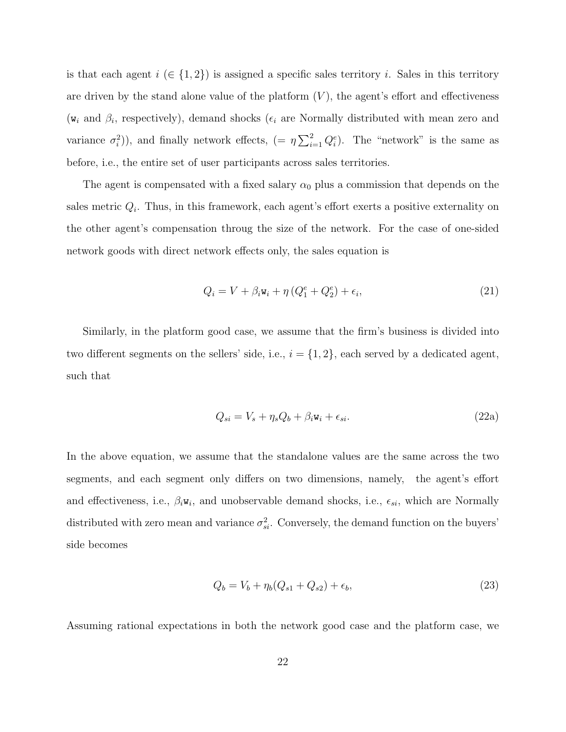is that each agent  $i \in \{1,2\}$  is assigned a specific sales territory i. Sales in this territory are driven by the stand alone value of the platform  $(V)$ , the agent's effort and effectiveness ( $w_i$  and  $\beta_i$ , respectively), demand shocks ( $\epsilon_i$  are Normally distributed with mean zero and variance  $\sigma_i^2$ )), and finally network effects,  $(=\eta \sum_{i=1}^2 Q_i^e)$ . The "network" is the same as before, i.e., the entire set of user participants across sales territories.

The agent is compensated with a fixed salary  $\alpha_0$  plus a commission that depends on the sales metric  $Q_i$ . Thus, in this framework, each agent's effort exerts a positive externality on the other agent's compensation throug the size of the network. For the case of one-sided network goods with direct network effects only, the sales equation is

$$
Q_i = V + \beta_i \mathbf{w}_i + \eta \left( Q_1^e + Q_2^e \right) + \epsilon_i, \tag{21}
$$

Similarly, in the platform good case, we assume that the firm's business is divided into two different segments on the sellers' side, i.e.,  $i = \{1, 2\}$ , each served by a dedicated agent, such that

$$
Q_{si} = V_s + \eta_s Q_b + \beta_i \mathbf{w}_i + \epsilon_{si}.
$$
\n(22a)

In the above equation, we assume that the standalone values are the same across the two segments, and each segment only differs on two dimensions, namely, the agent's effort and effectiveness, i.e.,  $\beta_i w_i$ , and unobservable demand shocks, i.e.,  $\epsilon_{si}$ , which are Normally distributed with zero mean and variance  $\sigma_{si}^2$ . Conversely, the demand function on the buyers' side becomes

$$
Q_b = V_b + \eta_b (Q_{s1} + Q_{s2}) + \epsilon_b, \tag{23}
$$

Assuming rational expectations in both the network good case and the platform case, we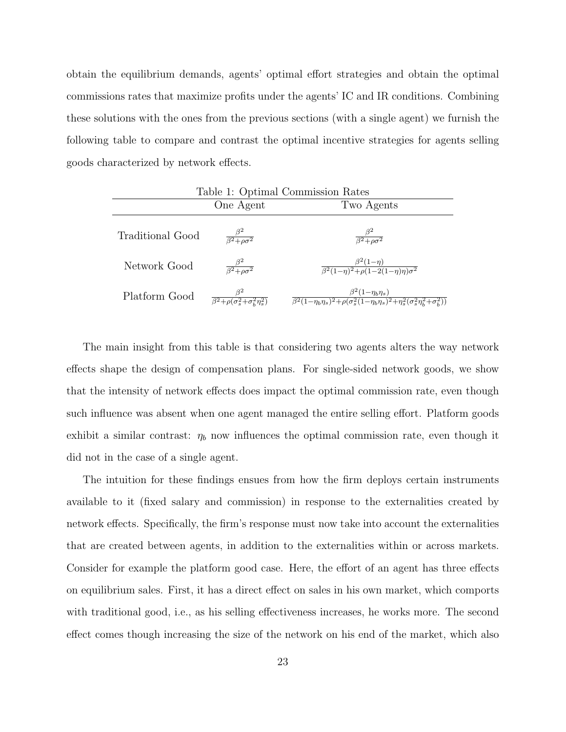obtain the equilibrium demands, agents' optimal effort strategies and obtain the optimal commissions rates that maximize profits under the agents' IC and IR conditions. Combining these solutions with the ones from the previous sections (with a single agent) we furnish the following table to compare and contrast the optimal incentive strategies for agents selling goods characterized by network effects.

| Table 1: Optimal Commission Rates |                                                                    |                                                                                                                                            |
|-----------------------------------|--------------------------------------------------------------------|--------------------------------------------------------------------------------------------------------------------------------------------|
|                                   | One Agent                                                          | Two Agents                                                                                                                                 |
| <b>Traditional Good</b>           | $\frac{\beta^2}{\beta^2 + \rho \sigma^2}$                          | $\frac{\beta^2}{\beta^2 + \rho \sigma^2}$                                                                                                  |
| Network Good                      | $\frac{\beta^2}{\beta^2 + \rho \sigma^2}$                          | $\frac{\beta^2(1-\eta)}{\beta^2(1-\eta)^2 + \rho(1-2(1-\eta)\eta)\sigma^2}$                                                                |
| Platform Good                     | $\frac{\beta^2}{\beta^2 + \rho(\sigma_s^2 + \sigma_h^2 \eta_s^2)}$ | $\beta^2(1-\eta_b\eta_s)$<br>$\sqrt{\beta^2(1-\eta_b\eta_s)^2+\rho(\sigma_s^2(1-\eta_b\eta_s)^2+\eta_s^2(\sigma_s^2\eta_b^2+\sigma_h^2))}$ |

The main insight from this table is that considering two agents alters the way network effects shape the design of compensation plans. For single-sided network goods, we show that the intensity of network effects does impact the optimal commission rate, even though such influence was absent when one agent managed the entire selling effort. Platform goods exhibit a similar contrast:  $\eta_b$  now influences the optimal commission rate, even though it did not in the case of a single agent.

The intuition for these findings ensues from how the firm deploys certain instruments available to it (fixed salary and commission) in response to the externalities created by network effects. Specifically, the firm's response must now take into account the externalities that are created between agents, in addition to the externalities within or across markets. Consider for example the platform good case. Here, the effort of an agent has three effects on equilibrium sales. First, it has a direct effect on sales in his own market, which comports with traditional good, i.e., as his selling effectiveness increases, he works more. The second effect comes though increasing the size of the network on his end of the market, which also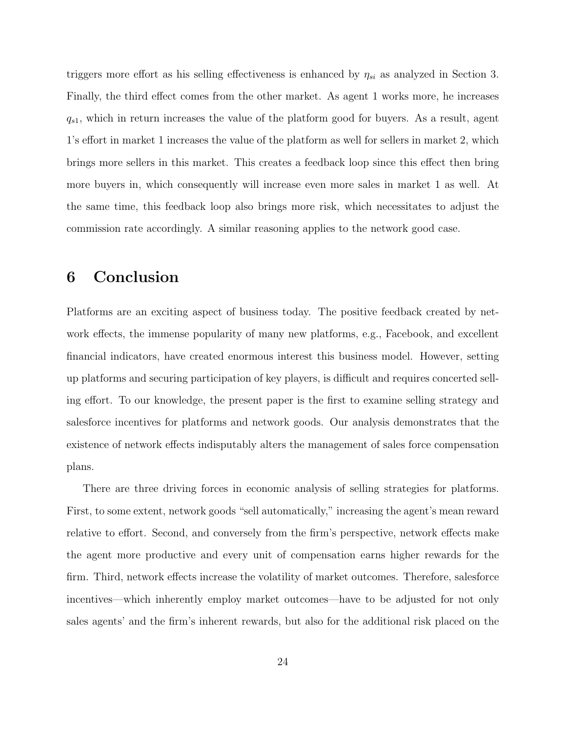triggers more effort as his selling effectiveness is enhanced by  $\eta_{si}$  as analyzed in Section 3. Finally, the third effect comes from the other market. As agent 1 works more, he increases  $q_{s1}$ , which in return increases the value of the platform good for buyers. As a result, agent 1's effort in market 1 increases the value of the platform as well for sellers in market 2, which brings more sellers in this market. This creates a feedback loop since this effect then bring more buyers in, which consequently will increase even more sales in market 1 as well. At the same time, this feedback loop also brings more risk, which necessitates to adjust the commission rate accordingly. A similar reasoning applies to the network good case.

## 6 Conclusion

Platforms are an exciting aspect of business today. The positive feedback created by network effects, the immense popularity of many new platforms, e.g., Facebook, and excellent financial indicators, have created enormous interest this business model. However, setting up platforms and securing participation of key players, is difficult and requires concerted selling effort. To our knowledge, the present paper is the first to examine selling strategy and salesforce incentives for platforms and network goods. Our analysis demonstrates that the existence of network effects indisputably alters the management of sales force compensation plans.

There are three driving forces in economic analysis of selling strategies for platforms. First, to some extent, network goods "sell automatically," increasing the agent's mean reward relative to effort. Second, and conversely from the firm's perspective, network effects make the agent more productive and every unit of compensation earns higher rewards for the firm. Third, network effects increase the volatility of market outcomes. Therefore, salesforce incentives—which inherently employ market outcomes—have to be adjusted for not only sales agents' and the firm's inherent rewards, but also for the additional risk placed on the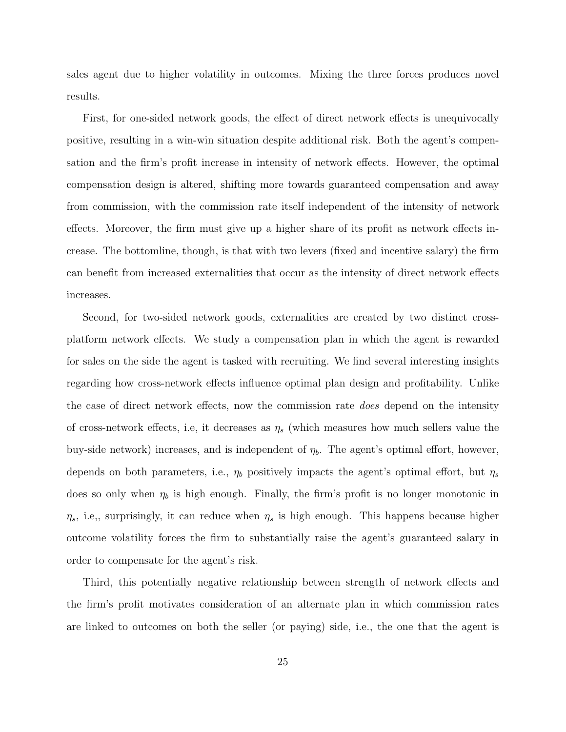sales agent due to higher volatility in outcomes. Mixing the three forces produces novel results.

First, for one-sided network goods, the effect of direct network effects is unequivocally positive, resulting in a win-win situation despite additional risk. Both the agent's compensation and the firm's profit increase in intensity of network effects. However, the optimal compensation design is altered, shifting more towards guaranteed compensation and away from commission, with the commission rate itself independent of the intensity of network effects. Moreover, the firm must give up a higher share of its profit as network effects increase. The bottomline, though, is that with two levers (fixed and incentive salary) the firm can benefit from increased externalities that occur as the intensity of direct network effects increases.

Second, for two-sided network goods, externalities are created by two distinct crossplatform network effects. We study a compensation plan in which the agent is rewarded for sales on the side the agent is tasked with recruiting. We find several interesting insights regarding how cross-network effects influence optimal plan design and profitability. Unlike the case of direct network effects, now the commission rate does depend on the intensity of cross-network effects, i.e, it decreases as  $\eta_s$  (which measures how much sellers value the buy-side network) increases, and is independent of  $\eta_b$ . The agent's optimal effort, however, depends on both parameters, i.e.,  $\eta_b$  positively impacts the agent's optimal effort, but  $\eta_s$ does so only when  $\eta_b$  is high enough. Finally, the firm's profit is no longer monotonic in  $\eta_s$ , i.e., surprisingly, it can reduce when  $\eta_s$  is high enough. This happens because higher outcome volatility forces the firm to substantially raise the agent's guaranteed salary in order to compensate for the agent's risk.

Third, this potentially negative relationship between strength of network effects and the firm's profit motivates consideration of an alternate plan in which commission rates are linked to outcomes on both the seller (or paying) side, i.e., the one that the agent is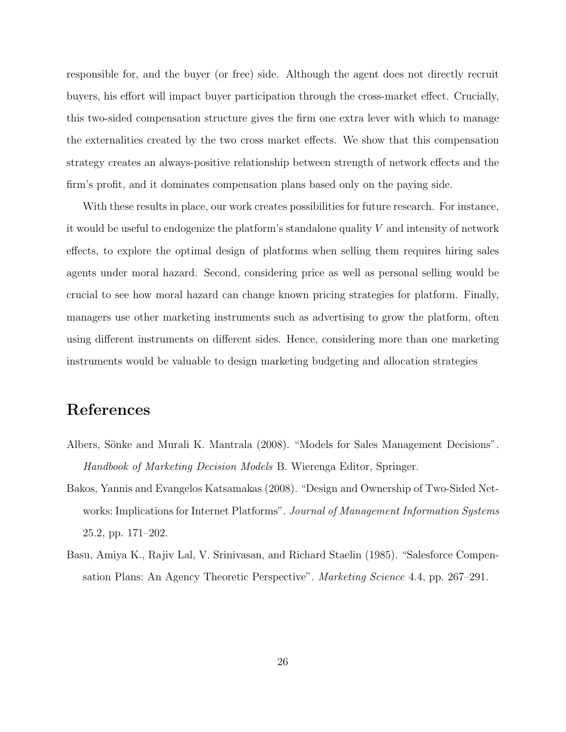responsible for, and the buyer (or free) side. Although the agent does not directly recruit buyers, his effort will impact buyer participation through the cross-market effect. Crucially, this two-sided compensation structure gives the firm one extra lever with which to manage the externalities created by the two cross market effects. We show that this compensation strategy creates an always-positive relationship between strength of network effects and the firm's profit, and it dominates compensation plans based only on the paying side.

With these results in place, our work creates possibilities for future research. For instance, it would be useful to endogenize the platform's standalone quality  $V$  and intensity of network effects, to explore the optimal design of platforms when selling them requires hiring sales agents under moral hazard. Second, considering price as well as personal selling would be crucial to see how moral hazard can change known pricing strategies for platform. Finally, managers use other marketing instruments such as advertising to grow the platform, often using different instruments on different sides. Hence, considering more than one marketing instruments would be valuable to design marketing budgeting and allocation strategies

## References

- Albers, Sönke and Murali K. Mantrala (2008). "Models for Sales Management Decisions". Handbook of Marketing Decision Models B. Wierenga Editor, Springer.
- Bakos, Yannis and Evangelos Katsamakas (2008). "Design and Ownership of Two-Sided Networks: Implications for Internet Platforms". Journal of Management Information Systems 25.2, pp. 171–202.
- Basu, Amiya K., Rajiv Lal, V. Srinivasan, and Richard Staelin (1985). "Salesforce Compensation Plans: An Agency Theoretic Perspective". Marketing Science 4.4, pp. 267–291.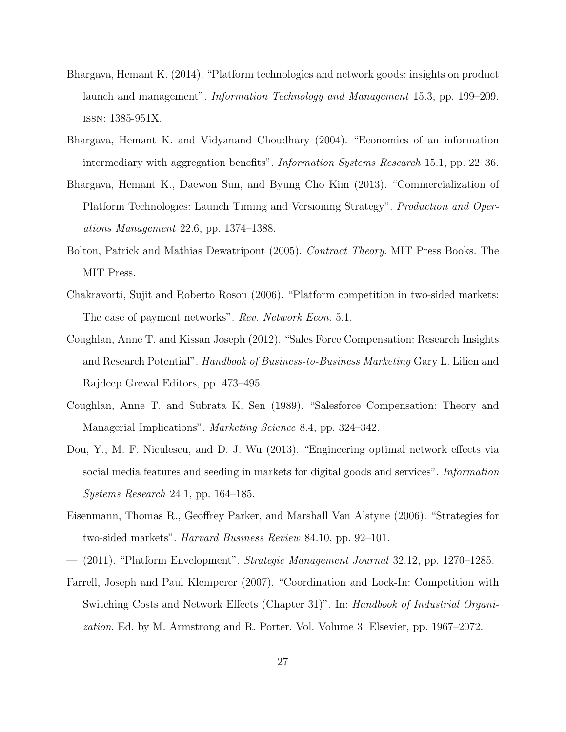- Bhargava, Hemant K. (2014). "Platform technologies and network goods: insights on product launch and management". Information Technology and Management 15.3, pp. 199–209. issn: 1385-951X.
- Bhargava, Hemant K. and Vidyanand Choudhary (2004). "Economics of an information intermediary with aggregation benefits". Information Systems Research 15.1, pp. 22–36.
- Bhargava, Hemant K., Daewon Sun, and Byung Cho Kim (2013). "Commercialization of Platform Technologies: Launch Timing and Versioning Strategy". Production and Operations Management 22.6, pp. 1374–1388.
- Bolton, Patrick and Mathias Dewatripont (2005). *Contract Theory*. MIT Press Books. The MIT Press.
- Chakravorti, Sujit and Roberto Roson (2006). "Platform competition in two-sided markets: The case of payment networks". Rev. Network Econ. 5.1.
- Coughlan, Anne T. and Kissan Joseph (2012). "Sales Force Compensation: Research Insights and Research Potential". *Handbook of Business-to-Business Marketing* Gary L. Lilien and Rajdeep Grewal Editors, pp. 473–495.
- Coughlan, Anne T. and Subrata K. Sen (1989). "Salesforce Compensation: Theory and Managerial Implications". *Marketing Science* 8.4, pp. 324–342.
- Dou, Y., M. F. Niculescu, and D. J. Wu (2013). "Engineering optimal network effects via social media features and seeding in markets for digital goods and services". *Information* Systems Research 24.1, pp. 164–185.
- Eisenmann, Thomas R., Geoffrey Parker, and Marshall Van Alstyne (2006). "Strategies for two-sided markets". Harvard Business Review 84.10, pp. 92–101.
- $-$  (2011). "Platform Envelopment". *Strategic Management Journal* 32.12, pp. 1270–1285.
- Farrell, Joseph and Paul Klemperer (2007). "Coordination and Lock-In: Competition with Switching Costs and Network Effects (Chapter 31)". In: Handbook of Industrial Organization. Ed. by M. Armstrong and R. Porter. Vol. Volume 3. Elsevier, pp. 1967–2072.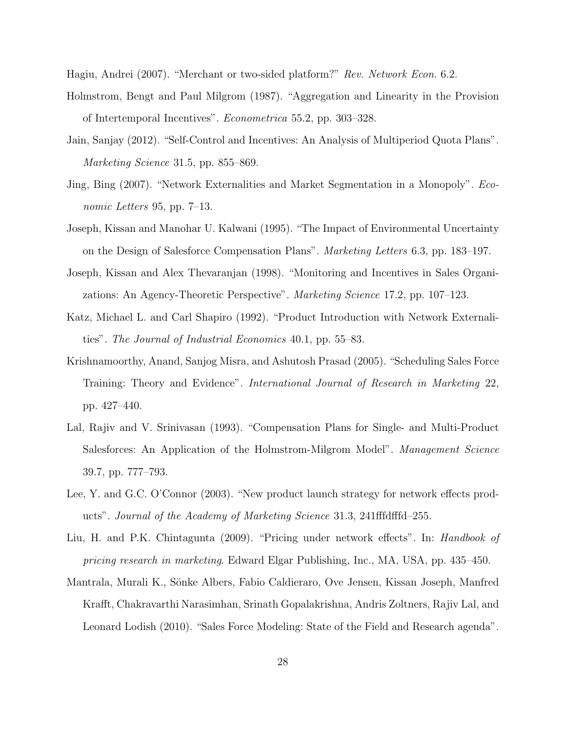Hagiu, Andrei (2007). "Merchant or two-sided platform?" Rev. Network Econ. 6.2.

- Holmstrom, Bengt and Paul Milgrom (1987). "Aggregation and Linearity in the Provision of Intertemporal Incentives". Econometrica 55.2, pp. 303–328.
- Jain, Sanjay (2012). "Self-Control and Incentives: An Analysis of Multiperiod Quota Plans". Marketing Science 31.5, pp. 855–869.
- Jing, Bing (2007). "Network Externalities and Market Segmentation in a Monopoly". Economic Letters 95, pp. 7–13.
- Joseph, Kissan and Manohar U. Kalwani (1995). "The Impact of Environmental Uncertainty on the Design of Salesforce Compensation Plans". Marketing Letters 6.3, pp. 183–197.
- Joseph, Kissan and Alex Thevaranjan (1998). "Monitoring and Incentives in Sales Organizations: An Agency-Theoretic Perspective". Marketing Science 17.2, pp. 107–123.
- Katz, Michael L. and Carl Shapiro (1992). "Product Introduction with Network Externalities". The Journal of Industrial Economics 40.1, pp. 55–83.
- Krishnamoorthy, Anand, Sanjog Misra, and Ashutosh Prasad (2005). "Scheduling Sales Force Training: Theory and Evidence". International Journal of Research in Marketing 22, pp. 427–440.
- Lal, Rajiv and V. Srinivasan (1993). "Compensation Plans for Single- and Multi-Product Salesforces: An Application of the Holmstrom-Milgrom Model". Management Science 39.7, pp. 777–793.
- Lee, Y. and G.C. O'Connor (2003). "New product launch strategy for network effects products". Journal of the Academy of Marketing Science 31.3, 241fffdfffd–255.
- Liu, H. and P.K. Chintagunta (2009). "Pricing under network effects". In: Handbook of pricing research in marketing. Edward Elgar Publishing, Inc., MA, USA, pp. 435–450.
- Mantrala, Murali K., S¨onke Albers, Fabio Caldieraro, Ove Jensen, Kissan Joseph, Manfred Krafft, Chakravarthi Narasimhan, Srinath Gopalakrishna, Andris Zoltners, Rajiv Lal, and Leonard Lodish (2010). "Sales Force Modeling: State of the Field and Research agenda".